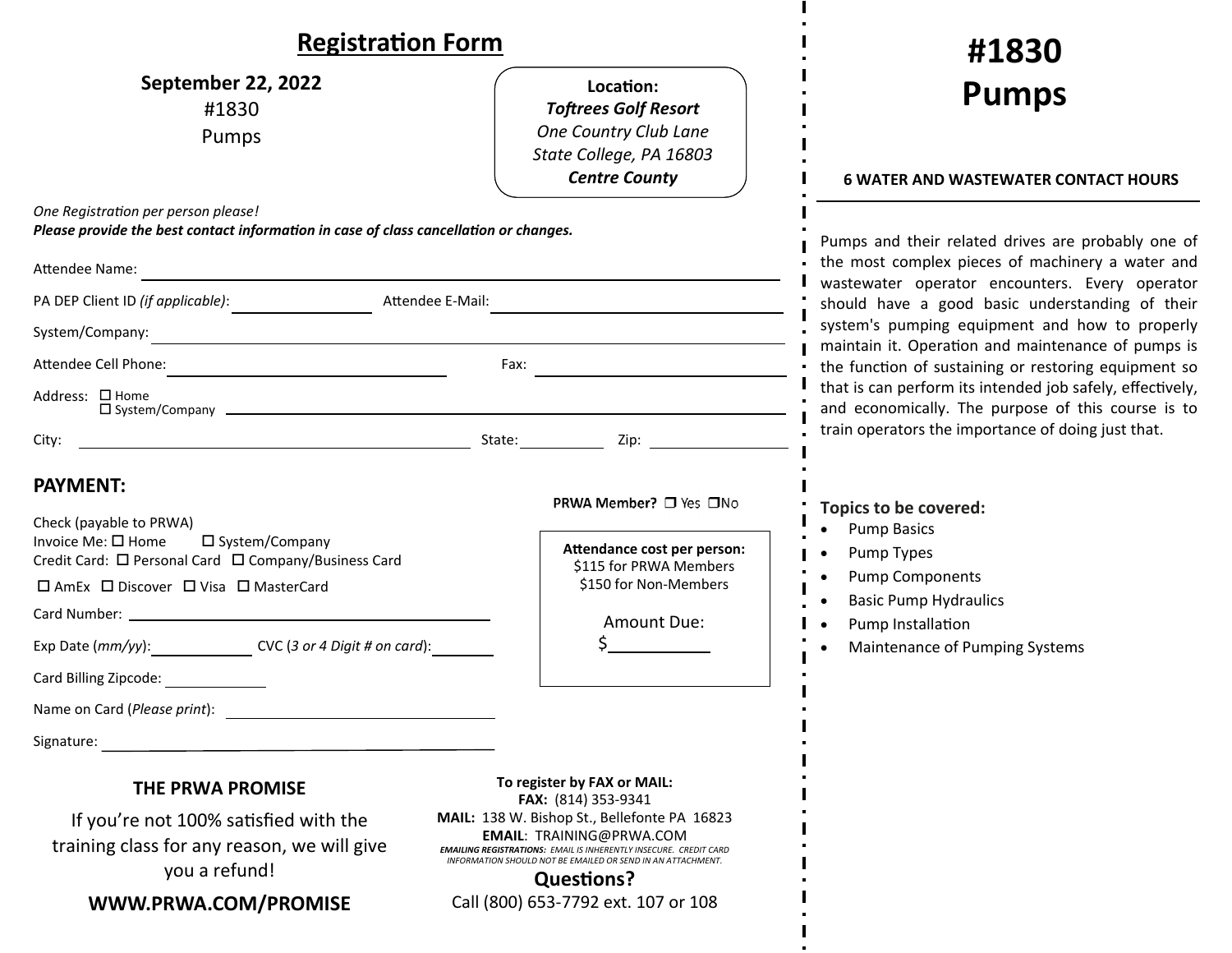| <b>Registration Form</b>                                                                                                                                                                                                                                                                                        |                                                                                                                                                                                                                                                                        | #1830                                                                                                                                                                                                                                                                                                                                                                       |
|-----------------------------------------------------------------------------------------------------------------------------------------------------------------------------------------------------------------------------------------------------------------------------------------------------------------|------------------------------------------------------------------------------------------------------------------------------------------------------------------------------------------------------------------------------------------------------------------------|-----------------------------------------------------------------------------------------------------------------------------------------------------------------------------------------------------------------------------------------------------------------------------------------------------------------------------------------------------------------------------|
| September 22, 2022<br>#1830<br>Pumps                                                                                                                                                                                                                                                                            | Location:<br><b>Toftrees Golf Resort</b><br>One Country Club Lane<br>State College, PA 16803<br><b>Centre County</b>                                                                                                                                                   | <b>Pumps</b><br><b>6 WATER AND WASTEWATER CONTACT HOURS</b>                                                                                                                                                                                                                                                                                                                 |
| One Registration per person please!<br>Please provide the best contact information in case of class cancellation or changes.<br>Attendee Name:                                                                                                                                                                  |                                                                                                                                                                                                                                                                        | Pumps and their related drives are probably one of<br>the most complex pieces of machinery a water and<br>wastewater operator encounters. Every operator<br>should have a good basic understanding of their<br>system's pumping equipment and how to properly<br>maintain it. Operation and maintenance of pumps is<br>the function of sustaining or restoring equipment so |
| Attendee E-Mail:                                                                                                                                                                                                                                                                                                |                                                                                                                                                                                                                                                                        |                                                                                                                                                                                                                                                                                                                                                                             |
| System/Company:<br><u> 1980 - Johann Stoff, amerikansk politiker (d. 1980)</u>                                                                                                                                                                                                                                  |                                                                                                                                                                                                                                                                        |                                                                                                                                                                                                                                                                                                                                                                             |
| Attendee Cell Phone:<br>Fax: $\qquad \qquad$                                                                                                                                                                                                                                                                    |                                                                                                                                                                                                                                                                        |                                                                                                                                                                                                                                                                                                                                                                             |
| Address: □ Home                                                                                                                                                                                                                                                                                                 |                                                                                                                                                                                                                                                                        | that is can perform its intended job safely, effectively,<br>and economically. The purpose of this course is to                                                                                                                                                                                                                                                             |
| City:                                                                                                                                                                                                                                                                                                           |                                                                                                                                                                                                                                                                        | train operators the importance of doing just that.                                                                                                                                                                                                                                                                                                                          |
| <b>PAYMENT:</b><br>Check (payable to PRWA)<br>Invoice Me: □ Home<br>□ System/Company<br>Credit Card: □ Personal Card □ Company/Business Card<br>□ AmEx □ Discover □ Visa □ MasterCard<br>Exp Date (mm/yy): CVC (3 or 4 Digit # on card):<br>Card Billing Zipcode:<br>Name on Card (Please print):<br>Signature: | PRWA Member? □ Yes □No<br>Attendance cost per person:<br>\$115 for PRWA Members<br>\$150 for Non-Members<br>Amount Due:                                                                                                                                                | Topics to be covered:<br><b>Pump Basics</b><br>Pump Types<br><b>Pump Components</b><br><b>Basic Pump Hydraulics</b><br>Pump Installation<br>Maintenance of Pumping Systems                                                                                                                                                                                                  |
| <b>THE PRWA PROMISE</b>                                                                                                                                                                                                                                                                                         | To register by FAX or MAIL:                                                                                                                                                                                                                                            |                                                                                                                                                                                                                                                                                                                                                                             |
| If you're not 100% satisfied with the<br>training class for any reason, we will give<br>you a refund!                                                                                                                                                                                                           | FAX: (814) 353-9341<br>MAIL: 138 W. Bishop St., Bellefonte PA 16823<br><b>EMAIL: TRAINING@PRWA.COM</b><br><b>EMAILING REGISTRATIONS: EMAIL IS INHERENTLY INSECURE. CREDIT CARD</b><br>INFORMATION SHOULD NOT BE EMAILED OR SEND IN AN ATTACHMENT.<br><b>Questions?</b> |                                                                                                                                                                                                                                                                                                                                                                             |
| WWW.PRWA.COM/PROMISE                                                                                                                                                                                                                                                                                            | Call (800) 653-7792 ext. 107 or 108                                                                                                                                                                                                                                    |                                                                                                                                                                                                                                                                                                                                                                             |

п